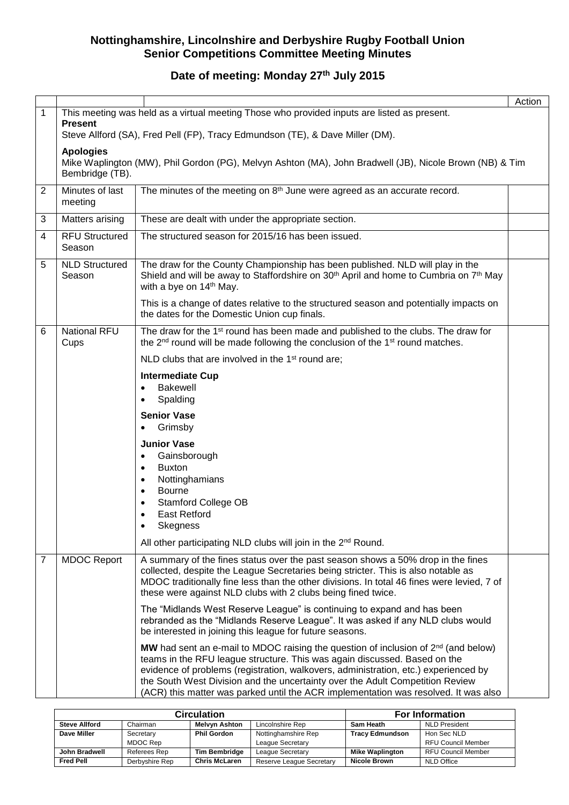# **Date of meeting: Monday 27th July 2015**

|                |                                                                                                                                                |                                                                                                                                                                                                                                                                                                                                                                                                                                     | Action |  |  |  |  |
|----------------|------------------------------------------------------------------------------------------------------------------------------------------------|-------------------------------------------------------------------------------------------------------------------------------------------------------------------------------------------------------------------------------------------------------------------------------------------------------------------------------------------------------------------------------------------------------------------------------------|--------|--|--|--|--|
| $\mathbf{1}$   | <b>Present</b>                                                                                                                                 | This meeting was held as a virtual meeting Those who provided inputs are listed as present.<br>Steve Allford (SA), Fred Pell (FP), Tracy Edmundson (TE), & Dave Miller (DM).                                                                                                                                                                                                                                                        |        |  |  |  |  |
|                |                                                                                                                                                |                                                                                                                                                                                                                                                                                                                                                                                                                                     |        |  |  |  |  |
|                | <b>Apologies</b><br>Mike Waplington (MW), Phil Gordon (PG), Melvyn Ashton (MA), John Bradwell (JB), Nicole Brown (NB) & Tim<br>Bembridge (TB). |                                                                                                                                                                                                                                                                                                                                                                                                                                     |        |  |  |  |  |
| $\overline{2}$ | Minutes of last<br>meeting                                                                                                                     | The minutes of the meeting on 8 <sup>th</sup> June were agreed as an accurate record.                                                                                                                                                                                                                                                                                                                                               |        |  |  |  |  |
| 3              | Matters arising                                                                                                                                | These are dealt with under the appropriate section.                                                                                                                                                                                                                                                                                                                                                                                 |        |  |  |  |  |
| 4              | <b>RFU Structured</b><br>Season                                                                                                                | The structured season for 2015/16 has been issued.                                                                                                                                                                                                                                                                                                                                                                                  |        |  |  |  |  |
| 5              | <b>NLD Structured</b><br>Season                                                                                                                | The draw for the County Championship has been published. NLD will play in the<br>Shield and will be away to Staffordshire on 30 <sup>th</sup> April and home to Cumbria on 7 <sup>th</sup> May<br>with a bye on 14 <sup>th</sup> May.                                                                                                                                                                                               |        |  |  |  |  |
|                |                                                                                                                                                | This is a change of dates relative to the structured season and potentially impacts on<br>the dates for the Domestic Union cup finals.                                                                                                                                                                                                                                                                                              |        |  |  |  |  |
| 6              | <b>National RFU</b><br>Cups                                                                                                                    | The draw for the 1 <sup>st</sup> round has been made and published to the clubs. The draw for<br>the 2 <sup>nd</sup> round will be made following the conclusion of the 1 <sup>st</sup> round matches.                                                                                                                                                                                                                              |        |  |  |  |  |
|                |                                                                                                                                                | NLD clubs that are involved in the 1 <sup>st</sup> round are;                                                                                                                                                                                                                                                                                                                                                                       |        |  |  |  |  |
|                |                                                                                                                                                | <b>Intermediate Cup</b>                                                                                                                                                                                                                                                                                                                                                                                                             |        |  |  |  |  |
|                |                                                                                                                                                | <b>Bakewell</b><br>$\bullet$<br>Spalding<br>$\bullet$                                                                                                                                                                                                                                                                                                                                                                               |        |  |  |  |  |
|                |                                                                                                                                                | <b>Senior Vase</b><br>Grimsby                                                                                                                                                                                                                                                                                                                                                                                                       |        |  |  |  |  |
|                |                                                                                                                                                | <b>Junior Vase</b>                                                                                                                                                                                                                                                                                                                                                                                                                  |        |  |  |  |  |
|                |                                                                                                                                                | Gainsborough<br>$\bullet$                                                                                                                                                                                                                                                                                                                                                                                                           |        |  |  |  |  |
|                |                                                                                                                                                | <b>Buxton</b><br>٠<br>Nottinghamians<br>٠                                                                                                                                                                                                                                                                                                                                                                                           |        |  |  |  |  |
|                |                                                                                                                                                | <b>Bourne</b><br>٠                                                                                                                                                                                                                                                                                                                                                                                                                  |        |  |  |  |  |
|                |                                                                                                                                                | <b>Stamford College OB</b><br>٠                                                                                                                                                                                                                                                                                                                                                                                                     |        |  |  |  |  |
|                |                                                                                                                                                | <b>East Retford</b><br>Skegness<br>٠                                                                                                                                                                                                                                                                                                                                                                                                |        |  |  |  |  |
|                |                                                                                                                                                | All other participating NLD clubs will join in the 2 <sup>nd</sup> Round.                                                                                                                                                                                                                                                                                                                                                           |        |  |  |  |  |
| 7              | <b>MDOC Report</b>                                                                                                                             | A summary of the fines status over the past season shows a 50% drop in the fines<br>collected, despite the League Secretaries being stricter. This is also notable as<br>MDOC traditionally fine less than the other divisions. In total 46 fines were levied, 7 of<br>these were against NLD clubs with 2 clubs being fined twice.                                                                                                 |        |  |  |  |  |
|                |                                                                                                                                                | The "Midlands West Reserve League" is continuing to expand and has been<br>rebranded as the "Midlands Reserve League". It was asked if any NLD clubs would<br>be interested in joining this league for future seasons.                                                                                                                                                                                                              |        |  |  |  |  |
|                |                                                                                                                                                | MW had sent an e-mail to MDOC raising the question of inclusion of $2^{nd}$ (and below)<br>teams in the RFU league structure. This was again discussed. Based on the<br>evidence of problems (registration, walkovers, administration, etc.) experienced by<br>the South West Division and the uncertainty over the Adult Competition Review<br>(ACR) this matter was parked until the ACR implementation was resolved. It was also |        |  |  |  |  |

|                      | <b>Circulation</b> | <b>For Information</b> |                          |                        |                           |
|----------------------|--------------------|------------------------|--------------------------|------------------------|---------------------------|
| <b>Steve Allford</b> | Chairman           | <b>Melvyn Ashton</b>   | Lincolnshire Rep         | Sam Heath              | <b>NLD President</b>      |
| Dave Miller          | Secretary          | <b>Phil Gordon</b>     | Nottinghamshire Rep      | <b>Tracy Edmundson</b> | Hon Sec NLD               |
|                      | MDOC Rep           |                        | League Secretary         |                        | <b>RFU Council Member</b> |
| John Bradwell        | Referees Rep       | <b>Tim Bembridge</b>   | League Secretary         | <b>Mike Waplington</b> | <b>RFU Council Member</b> |
| <b>Fred Pell</b>     | Derbyshire Rep     | <b>Chris McLaren</b>   | Reserve League Secretary | <b>Nicole Brown</b>    | NLD Office                |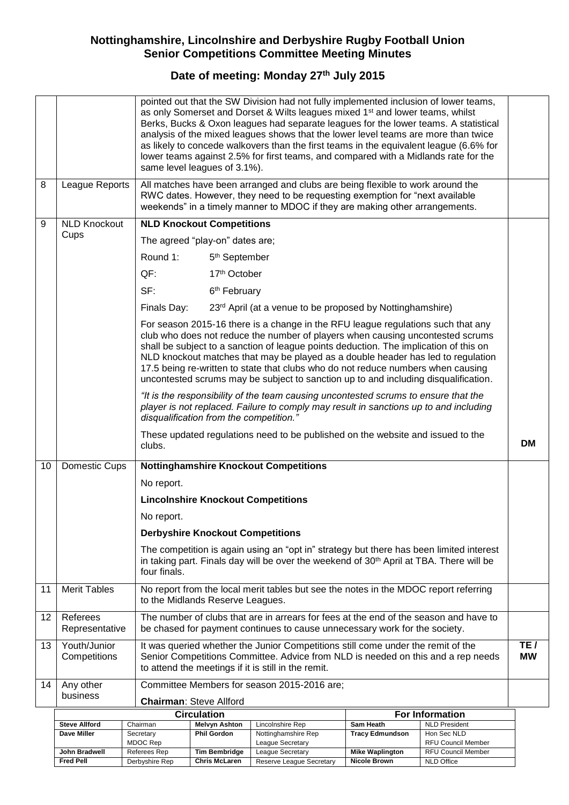# **Date of meeting: Monday 27th July 2015**

|    |                              | pointed out that the SW Division had not fully implemented inclusion of lower teams,<br>as only Somerset and Dorset & Wilts leagues mixed 1 <sup>st</sup> and lower teams, whilst<br>Berks, Bucks & Oxon leagues had separate leagues for the lower teams. A statistical<br>analysis of the mixed leagues shows that the lower level teams are more than twice<br>as likely to concede walkovers than the first teams in the equivalent league (6.6% for<br>lower teams against 2.5% for first teams, and compared with a Midlands rate for the<br>same level leagues of 3.1%). |                        |  |  |  |  |
|----|------------------------------|---------------------------------------------------------------------------------------------------------------------------------------------------------------------------------------------------------------------------------------------------------------------------------------------------------------------------------------------------------------------------------------------------------------------------------------------------------------------------------------------------------------------------------------------------------------------------------|------------------------|--|--|--|--|
| 8  | League Reports               | All matches have been arranged and clubs are being flexible to work around the<br>RWC dates. However, they need to be requesting exemption for "next available<br>weekends" in a timely manner to MDOC if they are making other arrangements.                                                                                                                                                                                                                                                                                                                                   |                        |  |  |  |  |
| 9  | <b>NLD Knockout</b><br>Cups  | <b>NLD Knockout Competitions</b>                                                                                                                                                                                                                                                                                                                                                                                                                                                                                                                                                |                        |  |  |  |  |
|    |                              | The agreed "play-on" dates are;                                                                                                                                                                                                                                                                                                                                                                                                                                                                                                                                                 |                        |  |  |  |  |
|    |                              | Round 1:<br>5 <sup>th</sup> September                                                                                                                                                                                                                                                                                                                                                                                                                                                                                                                                           |                        |  |  |  |  |
|    |                              | QF:<br>17th October                                                                                                                                                                                                                                                                                                                                                                                                                                                                                                                                                             |                        |  |  |  |  |
|    |                              | SF:<br>6 <sup>th</sup> February                                                                                                                                                                                                                                                                                                                                                                                                                                                                                                                                                 |                        |  |  |  |  |
|    |                              | Finals Day:<br>23rd April (at a venue to be proposed by Nottinghamshire)                                                                                                                                                                                                                                                                                                                                                                                                                                                                                                        |                        |  |  |  |  |
|    |                              | For season 2015-16 there is a change in the RFU league regulations such that any<br>club who does not reduce the number of players when causing uncontested scrums<br>shall be subject to a sanction of league points deduction. The implication of this on<br>NLD knockout matches that may be played as a double header has led to regulation<br>17.5 being re-written to state that clubs who do not reduce numbers when causing<br>uncontested scrums may be subject to sanction up to and including disqualification.                                                      |                        |  |  |  |  |
|    |                              | "It is the responsibility of the team causing uncontested scrums to ensure that the<br>player is not replaced. Failure to comply may result in sanctions up to and including<br>disqualification from the competition.'                                                                                                                                                                                                                                                                                                                                                         |                        |  |  |  |  |
|    |                              | These updated regulations need to be published on the website and issued to the<br>clubs.                                                                                                                                                                                                                                                                                                                                                                                                                                                                                       |                        |  |  |  |  |
| 10 | Domestic Cups                | <b>Nottinghamshire Knockout Competitions</b>                                                                                                                                                                                                                                                                                                                                                                                                                                                                                                                                    |                        |  |  |  |  |
|    |                              | No report.                                                                                                                                                                                                                                                                                                                                                                                                                                                                                                                                                                      |                        |  |  |  |  |
|    |                              | <b>Lincolnshire Knockout Competitions</b>                                                                                                                                                                                                                                                                                                                                                                                                                                                                                                                                       |                        |  |  |  |  |
|    |                              | No report.                                                                                                                                                                                                                                                                                                                                                                                                                                                                                                                                                                      |                        |  |  |  |  |
|    |                              | <b>Derbyshire Knockout Competitions</b>                                                                                                                                                                                                                                                                                                                                                                                                                                                                                                                                         |                        |  |  |  |  |
|    |                              | The competition is again using an "opt in" strategy but there has been limited interest<br>in taking part. Finals day will be over the weekend of 30 <sup>th</sup> April at TBA. There will be<br>four finals.                                                                                                                                                                                                                                                                                                                                                                  |                        |  |  |  |  |
| 11 | <b>Merit Tables</b>          | No report from the local merit tables but see the notes in the MDOC report referring<br>to the Midlands Reserve Leagues.                                                                                                                                                                                                                                                                                                                                                                                                                                                        |                        |  |  |  |  |
| 12 | Referees<br>Representative   | The number of clubs that are in arrears for fees at the end of the season and have to<br>be chased for payment continues to cause unnecessary work for the society.                                                                                                                                                                                                                                                                                                                                                                                                             |                        |  |  |  |  |
| 13 | Youth/Junior<br>Competitions | It was queried whether the Junior Competitions still come under the remit of the<br>Senior Competitions Committee. Advice from NLD is needed on this and a rep needs<br>to attend the meetings if it is still in the remit.                                                                                                                                                                                                                                                                                                                                                     |                        |  |  |  |  |
| 14 | Any other                    | Committee Members for season 2015-2016 are;                                                                                                                                                                                                                                                                                                                                                                                                                                                                                                                                     |                        |  |  |  |  |
|    | business                     | <b>Chairman: Steve Allford</b>                                                                                                                                                                                                                                                                                                                                                                                                                                                                                                                                                  |                        |  |  |  |  |
|    |                              | Circulation                                                                                                                                                                                                                                                                                                                                                                                                                                                                                                                                                                     | <b>For Information</b> |  |  |  |  |

|                      | Circulation    | <b>For Information</b> |                          |                        |                      |
|----------------------|----------------|------------------------|--------------------------|------------------------|----------------------|
| <b>Steve Allford</b> | Chairman       | Melvyn Ashton          | Lincolnshire Rep         | Sam Heath              | <b>NLD President</b> |
| Dave Miller          | Secretary      | <b>Phil Gordon</b>     | Nottinghamshire Rep      | <b>Tracy Edmundson</b> | Hon Sec NLD          |
|                      | MDOC Rep       |                        | League Secretary         |                        | RFU Council Member   |
| John Bradwell        | Referees Rep   | <b>Tim Bembridge</b>   | League Secretary         | <b>Mike Waplington</b> | RFU Council Member   |
| <b>Fred Pell</b>     | Derbyshire Rep | <b>Chris McLaren</b>   | Reserve League Secretary | Nicole Brown           | NLD Office           |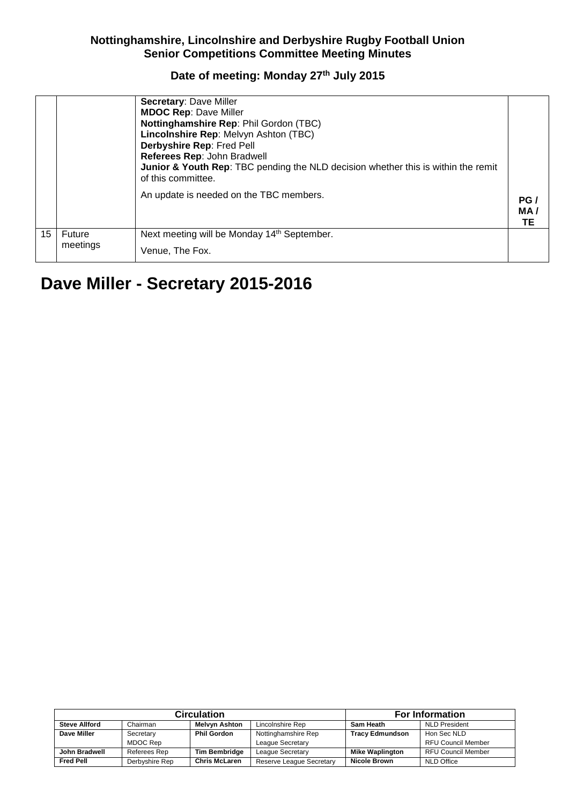## **Date of meeting: Monday 27th July 2015**

|    |                    | <b>Secretary: Dave Miller</b><br><b>MDOC Rep: Dave Miller</b><br>Nottinghamshire Rep: Phil Gordon (TBC)<br>Lincolnshire Rep: Melvyn Ashton (TBC)<br>Derbyshire Rep: Fred Pell<br>Referees Rep: John Bradwell<br><b>Junior &amp; Youth Rep:</b> TBC pending the NLD decision whether this is within the remit<br>of this committee.<br>An update is needed on the TBC members. | PG/<br>MA/<br>TЕ |
|----|--------------------|-------------------------------------------------------------------------------------------------------------------------------------------------------------------------------------------------------------------------------------------------------------------------------------------------------------------------------------------------------------------------------|------------------|
| 15 | Future<br>meetings | Next meeting will be Monday 14 <sup>th</sup> September.<br>Venue, The Fox.                                                                                                                                                                                                                                                                                                    |                  |

# **Dave Miller - Secretary 2015-2016**

|                      | <b>Circulation</b> | <b>For Information</b> |                          |                        |                           |
|----------------------|--------------------|------------------------|--------------------------|------------------------|---------------------------|
| <b>Steve Allford</b> | Chairman           | Melvyn Ashton          | Lincolnshire Rep         | Sam Heath              | <b>NLD President</b>      |
| Dave Miller          | Secretary          | <b>Phil Gordon</b>     | Nottinghamshire Rep      |                        | Hon Sec NLD               |
|                      | MDOC Rep           |                        | League Secretary         |                        | <b>RFU Council Member</b> |
| John Bradwell        | Referees Rep       | <b>Tim Bembridge</b>   | League Secretary         | <b>Mike Waplington</b> | <b>RFU Council Member</b> |
| <b>Fred Pell</b>     | Derbyshire Rep     | <b>Chris McLaren</b>   | Reserve League Secretary | <b>Nicole Brown</b>    | NLD Office                |